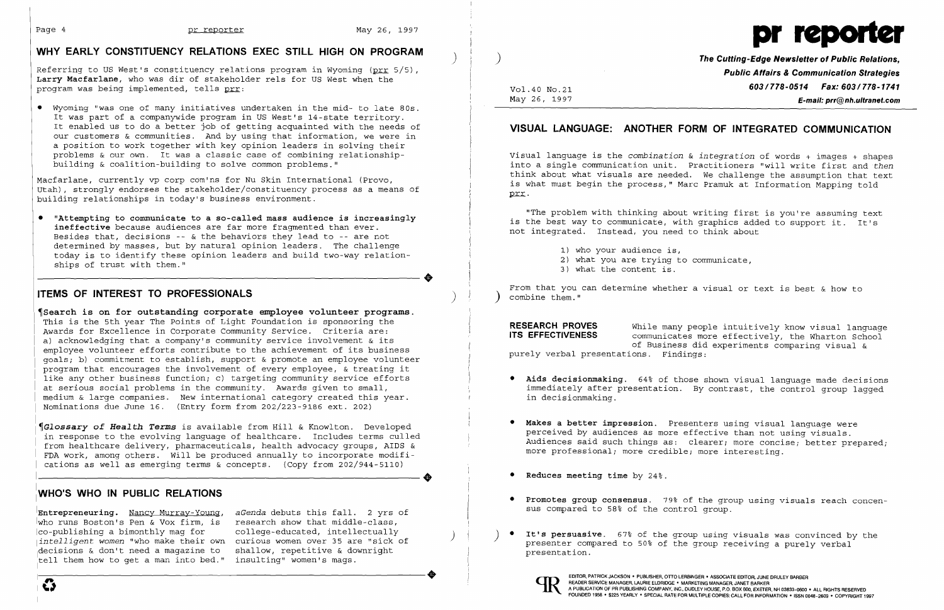# **WHY EARLY CONSTITUENCY RELATIONS EXEC STILL HIGH ON PROGRAM** ) )<br>Referring to US West's constituency relations program in Wyoming (pro 5/5), **The Cutting-Edge Newsletter of Public Relations,**

Referring to US West's constituency relations program in Wyoming (<u>prr</u> 5/5),<br>**Larry Macfarlane**, who was dir of stakeholder rels for US West when the **Public Affairs & Communication Strategies**<br>vol.40 No.21 **603/778–0514** program was being implemented, tells <u>prr</u>: Vol.40 No.21 **603/78-051 Fax: 603/78-0514 Fax: 603/78-0514 Fax: 603/78-05140** No.21 **603/78-0514 May: 26.1997** 



E-mail: prr@nh.ultranet.com

• Wyoming "was one of many initiatives undertaken in the mid- to late 80s. It was part of a companywide program in US West's 14-state territory.<br>It enabled us to do a better job of getting acquainted with the needs of our customers & communities. And by using that information, we were in a position to work together with key opinion leaders in solving their problems & our own. It was a classic case of combining relationship-<br>building & coalition-building to solve common problems."<br>into a single communication unit. Practitioners "will write first and then

Macfarlane, currently vp corp com'ns for Nu Skin International (Provo,<br>Utah), strongly endorses the stakeholder/constituency process as a means of is what must begin the process," Marc Pramuk at Information Mapping told<br>bu

• "Attempting to communicate to a so-called mass audience is increasingly<br>is the best way to communicate, with graphics added to support it. It's<br>ineffective because audiences are far more fragmented than ever.<br>not integra Besides that, decisions -- & the behaviors they lead to -- are not determined by masses, but by natural opinion leaders. The challenge determined by masses, but by natural opinion leaders. The challenge and the set of the set of the is, to identify these opinion leaders and build two-way relation- and the set of trust with them." 3) what you are trying to determined by masses, bac by natural opinion leaders. The endricingly today is to identify these opinion leaders and build two-way relation-<br>ships of trust with them."

"The problem with thinking about writing first is you're assuming text

- 
- 
- 

**ITEMS OF INTEREST TO PROFESSIONALS ITEMS** of the strom that you can determine whether a visual or text is best & how to

- immediately after presentation. By contrast, the control group lagged<br>in decisionmaking.
- 
- 
- 
- curious women over 35 are "sick of and their their own presenter compared to 50% of the group receiving a purely verbal<sup>-</sup><br>shallow, repetitive & downright and the second presentation.



**Search is on for outstanding corporate employee volunteer programs.** This is the 5th vear The Points of Light Foundation is sponsoring the This is the 5th year The Points of Light Foundation is sponsoring the<br>Awards for Excellence in Corporate Community Service. Criteria are:<br>a) acknowledging that a company's community service involvement & its<br>employee volun goals; b) commitment to establish, support & promote an employee volunteer<br>program that encourages the involvement of every employee, & treating it<br>like any other business function; c) targeting community service efforts like any other business function; c) targeting community service efforts **• Aids decisionmaking.** 64% of those shown visual language made decisions medium & large companies. New international category created this year. Nominations due June 16. (Entry form from 202/223-9186 ext. 202)

Glossary of Health Terms is available from Hill & Knowlton. Developed<br>in response to the evolving language of healthcare. Includes terms culled<br>from health example in the evolving language of healthcare. Includes terms cul rrom healthcare delivery, pharmaceuticals, health advocacy groups, Albs & which was a more professional; more credible; more interesting.<br>FDA work, among others. Will be produced annually to incorporate modifi- which was a cations as well as emerging terms & concepts. (Copy from 202/944-5110) ----------------------+ **• Reduces meeting time** by 24%.

### **I WHO'S WHO IN PUBLIC RELATIONS Integral Conservated Algebra 19%** of the group using visuals reach concen-

sus compared to 58% of the control group. **IEntrepreneuring.** Nancy Murray-Young, *aGenda* debuts this fall. 2 yrs of who runs Boston's Pen & Vox firm, is research show that middle-class,<br>|co-publishing a bimonthly mag for college-educated, intellectually Ico-publishing a bimonthly mag for college-educated, intellectually ) ) • **It's persuasive.** 67% of the group using visuals was convinced by the |decisions & don't need a magazine to shallow, repetitive & dow<br>|tell them how to get a man into bed." insulting" women's mags. tell them how to get a man into bed."

### VISUAL LANGUAGE: ANOTHER FORM OF INTEGRATED COMMUNICATION

into a single communication unit. Practitioners "will write first and *then*<br>think about what visuals are needed. We challenge the assumption that text

I

I